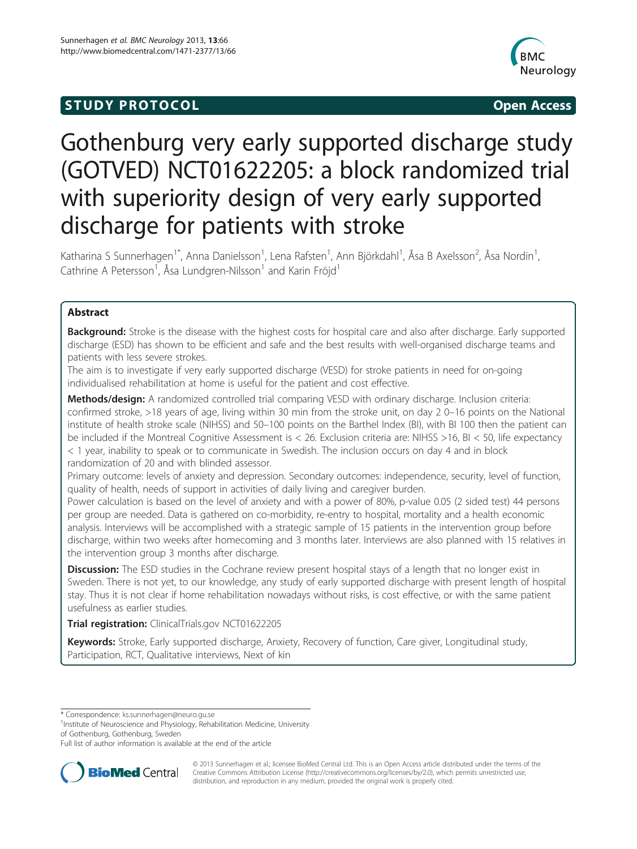# **STUDY PROTOCOL CONSUMING THE STUDY PROTOCOL**



# Gothenburg very early supported discharge study (GOTVED) NCT01622205: a block randomized trial with superiority design of very early supported discharge for patients with stroke

Katharina S Sunnerhagen<sup>1\*</sup>, Anna Danielsson<sup>1</sup>, Lena Rafsten<sup>1</sup>, Ann Björkdahl<sup>1</sup>, Åsa B Axelsson<sup>2</sup>, Åsa Nordin<sup>1</sup> , Cathrine A Petersson<sup>1</sup>, Åsa Lundgren-Nilsson<sup>1</sup> and Karin Fröjd<sup>1</sup>

# Abstract

Background: Stroke is the disease with the highest costs for hospital care and also after discharge. Early supported discharge (ESD) has shown to be efficient and safe and the best results with well-organised discharge teams and patients with less severe strokes.

The aim is to investigate if very early supported discharge (VESD) for stroke patients in need for on-going individualised rehabilitation at home is useful for the patient and cost effective.

Methods/design: A randomized controlled trial comparing VESD with ordinary discharge. Inclusion criteria: confirmed stroke, >18 years of age, living within 30 min from the stroke unit, on day 2 0–16 points on the National institute of health stroke scale (NIHSS) and 50–100 points on the Barthel Index (BI), with BI 100 then the patient can be included if the Montreal Cognitive Assessment is < 26. Exclusion criteria are: NIHSS >16, BI < 50, life expectancy < 1 year, inability to speak or to communicate in Swedish. The inclusion occurs on day 4 and in block randomization of 20 and with blinded assessor.

Primary outcome: levels of anxiety and depression. Secondary outcomes: independence, security, level of function, quality of health, needs of support in activities of daily living and caregiver burden.

Power calculation is based on the level of anxiety and with a power of 80%, p-value 0.05 (2 sided test) 44 persons per group are needed. Data is gathered on co-morbidity, re-entry to hospital, mortality and a health economic analysis. Interviews will be accomplished with a strategic sample of 15 patients in the intervention group before discharge, within two weeks after homecoming and 3 months later. Interviews are also planned with 15 relatives in the intervention group 3 months after discharge.

**Discussion:** The ESD studies in the Cochrane review present hospital stays of a length that no longer exist in Sweden. There is not yet, to our knowledge, any study of early supported discharge with present length of hospital stay. Thus it is not clear if home rehabilitation nowadays without risks, is cost effective, or with the same patient usefulness as earlier studies.

**Trial registration:** ClinicalTrials.gov [NCT01622205](http://www.clinicaltrials.gov/NCT01622205)

Keywords: Stroke, Early supported discharge, Anxiety, Recovery of function, Care giver, Longitudinal study, Participation, RCT, Qualitative interviews, Next of kin

\* Correspondence: [ks.sunnerhagen@neuro.gu.se](mailto:ks.sunnerhagen@neuro.gu.se) <sup>1</sup>

<sup>1</sup> Institute of Neuroscience and Physiology, Rehabilitation Medicine, University of Gothenburg, Gothenburg, Sweden

Full list of author information is available at the end of the article



© 2013 Sunnerhagen et al.; licensee BioMed Central Ltd. This is an Open Access article distributed under the terms of the Creative Commons Attribution License (<http://creativecommons.org/licenses/by/2.0>), which permits unrestricted use, distribution, and reproduction in any medium, provided the original work is properly cited.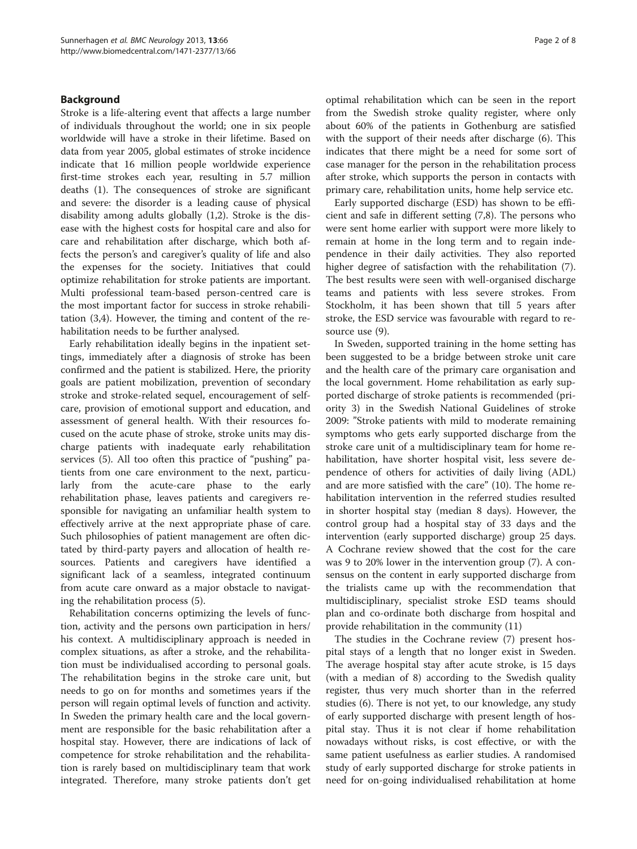# Background

Stroke is a life-altering event that affects a large number of individuals throughout the world; one in six people worldwide will have a stroke in their lifetime. Based on data from year 2005, global estimates of stroke incidence indicate that 16 million people worldwide experience first-time strokes each year, resulting in 5.7 million deaths [\(1\)](#page-6-0). The consequences of stroke are significant and severe: the disorder is a leading cause of physical disability among adults globally [\(1,2](#page-6-0)). Stroke is the disease with the highest costs for hospital care and also for care and rehabilitation after discharge, which both affects the person's and caregiver's quality of life and also the expenses for the society. Initiatives that could optimize rehabilitation for stroke patients are important. Multi professional team-based person-centred care is the most important factor for success in stroke rehabilitation [\(3,4](#page-6-0)). However, the timing and content of the rehabilitation needs to be further analysed.

Early rehabilitation ideally begins in the inpatient settings, immediately after a diagnosis of stroke has been confirmed and the patient is stabilized. Here, the priority goals are patient mobilization, prevention of secondary stroke and stroke-related sequel, encouragement of selfcare, provision of emotional support and education, and assessment of general health. With their resources focused on the acute phase of stroke, stroke units may discharge patients with inadequate early rehabilitation services ([5](#page-6-0)). All too often this practice of "pushing" patients from one care environment to the next, particularly from the acute-care phase to the early rehabilitation phase, leaves patients and caregivers responsible for navigating an unfamiliar health system to effectively arrive at the next appropriate phase of care. Such philosophies of patient management are often dictated by third-party payers and allocation of health resources. Patients and caregivers have identified a significant lack of a seamless, integrated continuum from acute care onward as a major obstacle to navigating the rehabilitation process ([5\)](#page-6-0).

Rehabilitation concerns optimizing the levels of function, activity and the persons own participation in hers/ his context. A multidisciplinary approach is needed in complex situations, as after a stroke, and the rehabilitation must be individualised according to personal goals. The rehabilitation begins in the stroke care unit, but needs to go on for months and sometimes years if the person will regain optimal levels of function and activity. In Sweden the primary health care and the local government are responsible for the basic rehabilitation after a hospital stay. However, there are indications of lack of competence for stroke rehabilitation and the rehabilitation is rarely based on multidisciplinary team that work integrated. Therefore, many stroke patients don't get

optimal rehabilitation which can be seen in the report from the Swedish stroke quality register, where only about 60% of the patients in Gothenburg are satisfied with the support of their needs after discharge ([6](#page-6-0)). This indicates that there might be a need for some sort of case manager for the person in the rehabilitation process after stroke, which supports the person in contacts with primary care, rehabilitation units, home help service etc.

Early supported discharge (ESD) has shown to be efficient and safe in different setting [\(7,8\)](#page-6-0). The persons who were sent home earlier with support were more likely to remain at home in the long term and to regain independence in their daily activities. They also reported higher degree of satisfaction with the rehabilitation [\(7](#page-6-0)). The best results were seen with well-organised discharge teams and patients with less severe strokes. From Stockholm, it has been shown that till 5 years after stroke, the ESD service was favourable with regard to resource use ([9\)](#page-6-0).

In Sweden, supported training in the home setting has been suggested to be a bridge between stroke unit care and the health care of the primary care organisation and the local government. Home rehabilitation as early supported discharge of stroke patients is recommended (priority 3) in the Swedish National Guidelines of stroke 2009: "Stroke patients with mild to moderate remaining symptoms who gets early supported discharge from the stroke care unit of a multidisciplinary team for home rehabilitation, have shorter hospital visit, less severe dependence of others for activities of daily living (ADL) and are more satisfied with the care" [\(10\)](#page-6-0). The home rehabilitation intervention in the referred studies resulted in shorter hospital stay (median 8 days). However, the control group had a hospital stay of 33 days and the intervention (early supported discharge) group 25 days. A Cochrane review showed that the cost for the care was 9 to 20% lower in the intervention group [\(7\)](#page-6-0). A consensus on the content in early supported discharge from the trialists came up with the recommendation that multidisciplinary, specialist stroke ESD teams should plan and co-ordinate both discharge from hospital and provide rehabilitation in the community [\(11](#page-6-0))

The studies in the Cochrane review ([7\)](#page-6-0) present hospital stays of a length that no longer exist in Sweden. The average hospital stay after acute stroke, is 15 days (with a median of 8) according to the Swedish quality register, thus very much shorter than in the referred studies [\(6\)](#page-6-0). There is not yet, to our knowledge, any study of early supported discharge with present length of hospital stay. Thus it is not clear if home rehabilitation nowadays without risks, is cost effective, or with the same patient usefulness as earlier studies. A randomised study of early supported discharge for stroke patients in need for on-going individualised rehabilitation at home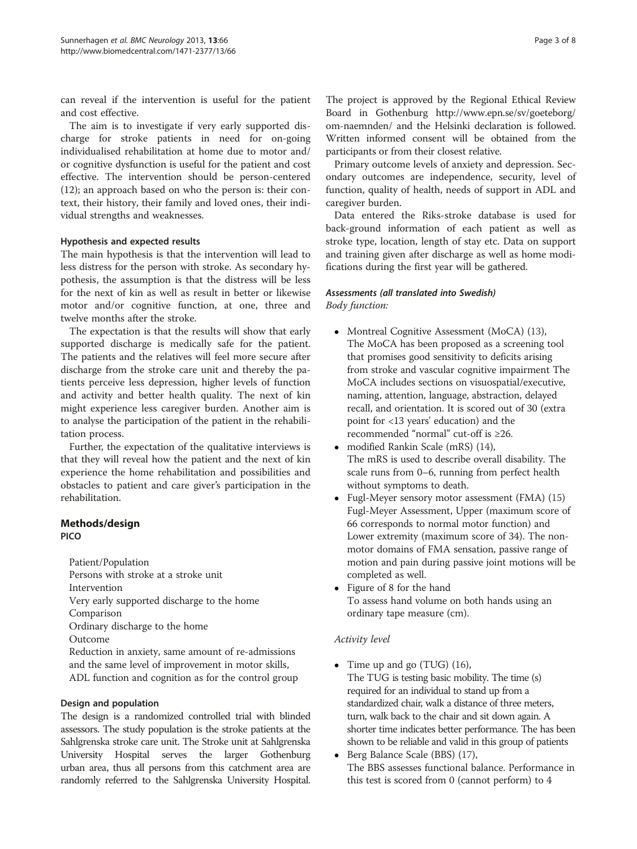can reveal if the intervention is useful for the patient and cost effective.

The aim is to investigate if very early supported discharge for stroke patients in need for on-going individualised rehabilitation at home due to motor and/ or cognitive dysfunction is useful for the patient and cost effective. The intervention should be person-centered ([12\)](#page-6-0); an approach based on who the person is: their context, their history, their family and loved ones, their individual strengths and weaknesses.

#### Hypothesis and expected results

The main hypothesis is that the intervention will lead to less distress for the person with stroke. As secondary hypothesis, the assumption is that the distress will be less for the next of kin as well as result in better or likewise motor and/or cognitive function, at one, three and twelve months after the stroke.

The expectation is that the results will show that early supported discharge is medically safe for the patient. The patients and the relatives will feel more secure after discharge from the stroke care unit and thereby the patients perceive less depression, higher levels of function and activity and better health quality. The next of kin might experience less caregiver burden. Another aim is to analyse the participation of the patient in the rehabilitation process.

Further, the expectation of the qualitative interviews is that they will reveal how the patient and the next of kin experience the home rehabilitation and possibilities and obstacles to patient and care giver's participation in the rehabilitation.

# Methods/design PICO

Patient/Population Persons with stroke at a stroke unit Intervention Very early supported discharge to the home Comparison Ordinary discharge to the home Outcome Reduction in anxiety, same amount of re-admissions and the same level of improvement in motor skills, ADL function and cognition as for the control group

# Design and population

The design is a randomized controlled trial with blinded assessors. The study population is the stroke patients at the Sahlgrenska stroke care unit. The Stroke unit at Sahlgrenska University Hospital serves the larger Gothenburg urban area, thus all persons from this catchment area are randomly referred to the Sahlgrenska University Hospital. The project is approved by the Regional Ethical Review Board in Gothenburg [http://www.epn.se/sv/goeteborg/](http://www.epn.se/sv/goeteborg/om-naemnden/) [om-naemnden/](http://www.epn.se/sv/goeteborg/om-naemnden/) and the Helsinki declaration is followed. Written informed consent will be obtained from the participants or from their closest relative.

Primary outcome levels of anxiety and depression. Secondary outcomes are independence, security, level of function, quality of health, needs of support in ADL and caregiver burden.

Data entered the Riks-stroke database is used for back-ground information of each patient as well as stroke type, location, length of stay etc. Data on support and training given after discharge as well as home modifications during the first year will be gathered.

# Assessments (all translated into Swedish) Body function:

- Montreal Cognitive Assessment (MoCA) [\(13](#page-6-0)), The MoCA has been proposed as a screening tool that promises good sensitivity to deficits arising from stroke and vascular cognitive impairment The MoCA includes sections on visuospatial/executive, naming, attention, language, abstraction, delayed recall, and orientation. It is scored out of 30 (extra point for <13 years' education) and the recommended "normal" cut-off is ≥26.
- modified Rankin Scale (mRS) ([14](#page-6-0)), The mRS is used to describe overall disability. The scale runs from 0–6, running from perfect health without symptoms to death.
- Fugl-Meyer sensory motor assessment (FMA) ([15\)](#page-6-0) Fugl-Meyer Assessment, Upper (maximum score of 66 corresponds to normal motor function) and Lower extremity (maximum score of 34). The nonmotor domains of FMA sensation, passive range of motion and pain during passive joint motions will be completed as well.
- Figure of 8 for the hand To assess hand volume on both hands using an ordinary tape measure (cm).

# Activity level

- Time up and go (TUG) ([16\)](#page-6-0), The TUG is testing basic mobility. The time (s) required for an individual to stand up from a standardized chair, walk a distance of three meters, turn, walk back to the chair and sit down again. A shorter time indicates better performance. The has been shown to be reliable and valid in this group of patients
- Berg Balance Scale (BBS) ([17\)](#page-6-0), The BBS assesses functional balance. Performance in this test is scored from 0 (cannot perform) to 4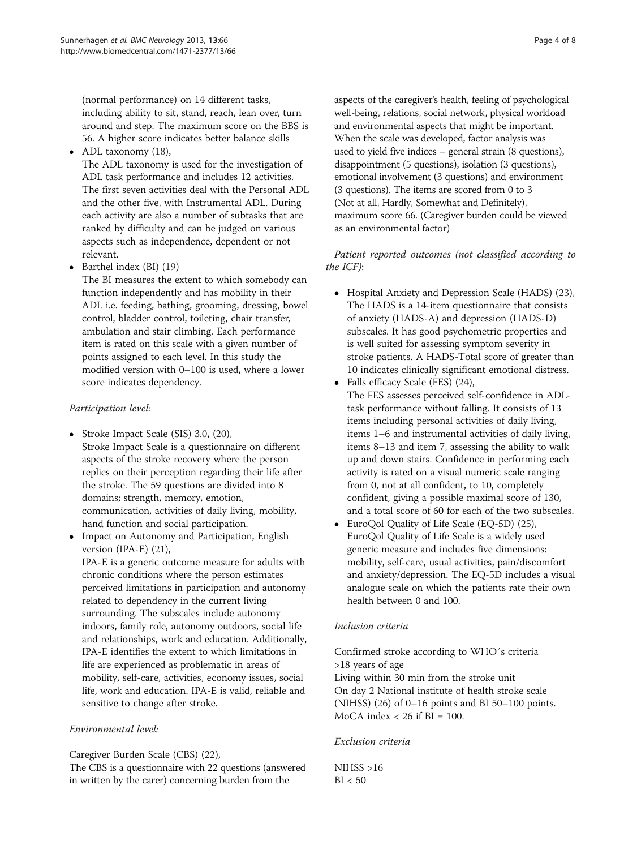(normal performance) on 14 different tasks, including ability to sit, stand, reach, lean over, turn around and step. The maximum score on the BBS is 56. A higher score indicates better balance skills

• ADL taxonomy [\(18\)](#page-6-0),

The ADL taxonomy is used for the investigation of ADL task performance and includes 12 activities. The first seven activities deal with the Personal ADL and the other five, with Instrumental ADL. During each activity are also a number of subtasks that are ranked by difficulty and can be judged on various aspects such as independence, dependent or not relevant.

• Barthel index (BI) ([19](#page-6-0))

The BI measures the extent to which somebody can function independently and has mobility in their ADL i.e. feeding, bathing, grooming, dressing, bowel control, bladder control, toileting, chair transfer, ambulation and stair climbing. Each performance item is rated on this scale with a given number of points assigned to each level. In this study the modified version with 0–100 is used, where a lower score indicates dependency.

# Participation level:

- Stroke Impact Scale (SIS) 3.0, [\(20\)](#page-6-0), Stroke Impact Scale is a questionnaire on different aspects of the stroke recovery where the person replies on their perception regarding their life after the stroke. The 59 questions are divided into 8 domains; strength, memory, emotion, communication, activities of daily living, mobility, hand function and social participation.
- Impact on Autonomy and Participation, English version (IPA-E) ([21](#page-6-0)),

IPA-E is a generic outcome measure for adults with chronic conditions where the person estimates perceived limitations in participation and autonomy related to dependency in the current living surrounding. The subscales include autonomy indoors, family role, autonomy outdoors, social life and relationships, work and education. Additionally, IPA-E identifies the extent to which limitations in life are experienced as problematic in areas of mobility, self-care, activities, economy issues, social life, work and education. IPA-E is valid, reliable and sensitive to change after stroke.

# Environmental level:

Caregiver Burden Scale (CBS) ([22](#page-7-0)),

The CBS is a questionnaire with 22 questions (answered in written by the carer) concerning burden from the

aspects of the caregiver's health, feeling of psychological well-being, relations, social network, physical workload and environmental aspects that might be important. When the scale was developed, factor analysis was used to yield five indices – general strain (8 questions), disappointment (5 questions), isolation (3 questions), emotional involvement (3 questions) and environment (3 questions). The items are scored from 0 to 3 (Not at all, Hardly, Somewhat and Definitely), maximum score 66. (Caregiver burden could be viewed as an environmental factor)

Patient reported outcomes (not classified according to the ICF):

- Hospital Anxiety and Depression Scale (HADS) ([23](#page-7-0)), The HADS is a 14-item questionnaire that consists of anxiety (HADS-A) and depression (HADS-D) subscales. It has good psychometric properties and is well suited for assessing symptom severity in stroke patients. A HADS-Total score of greater than 10 indicates clinically significant emotional distress.
- Falls efficacy Scale (FES) [\(24\)](#page-7-0), The FES assesses perceived self-confidence in ADLtask performance without falling. It consists of 13 items including personal activities of daily living, items 1–6 and instrumental activities of daily living, items 8–13 and item 7, assessing the ability to walk up and down stairs. Confidence in performing each activity is rated on a visual numeric scale ranging from 0, not at all confident, to 10, completely confident, giving a possible maximal score of 130, and a total score of 60 for each of the two subscales.
- EuroQol Quality of Life Scale (EQ-5D) [\(25\)](#page-7-0), EuroQol Quality of Life Scale is a widely used generic measure and includes five dimensions: mobility, self-care, usual activities, pain/discomfort and anxiety/depression. The EQ-5D includes a visual analogue scale on which the patients rate their own health between 0 and 100.

# Inclusion criteria

Confirmed stroke according to WHO´s criteria >18 years of age Living within 30 min from the stroke unit On day 2 National institute of health stroke scale (NIHSS) [\(26\)](#page-7-0) of 0–16 points and BI 50–100 points.  $MoCA$  index < 26 if  $BI = 100$ .

# Exclusion criteria

NIHSS >16  $BI < 50$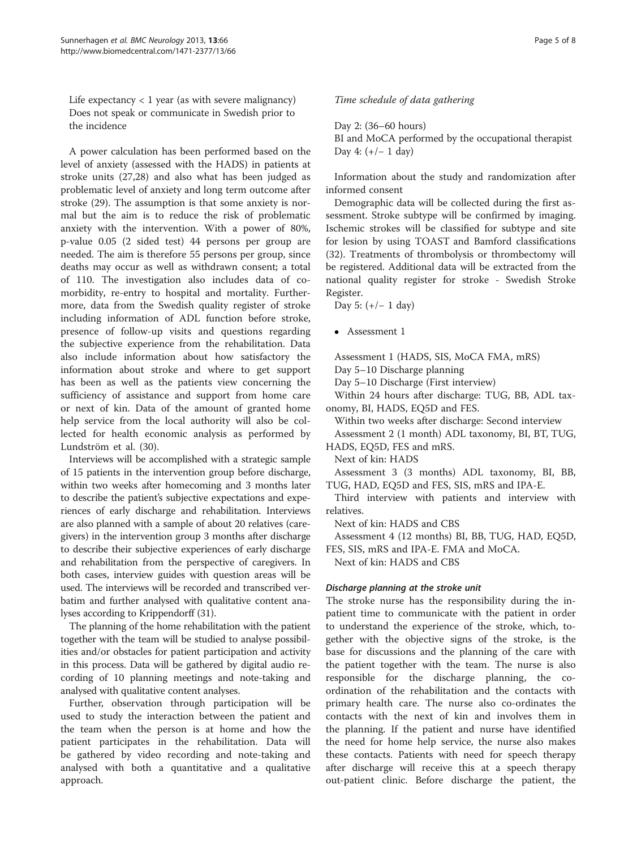Life expectancy  $\langle 1 \rangle$  year (as with severe malignancy) Does not speak or communicate in Swedish prior to the incidence

A power calculation has been performed based on the level of anxiety (assessed with the HADS) in patients at stroke units [\(27,28](#page-7-0)) and also what has been judged as problematic level of anxiety and long term outcome after stroke [\(29](#page-7-0)). The assumption is that some anxiety is normal but the aim is to reduce the risk of problematic anxiety with the intervention. With a power of 80%, p-value 0.05 (2 sided test) 44 persons per group are needed. The aim is therefore 55 persons per group, since deaths may occur as well as withdrawn consent; a total of 110. The investigation also includes data of comorbidity, re-entry to hospital and mortality. Furthermore, data from the Swedish quality register of stroke including information of ADL function before stroke, presence of follow-up visits and questions regarding the subjective experience from the rehabilitation. Data also include information about how satisfactory the information about stroke and where to get support has been as well as the patients view concerning the sufficiency of assistance and support from home care or next of kin. Data of the amount of granted home help service from the local authority will also be collected for health economic analysis as performed by Lundström et al. ([30](#page-7-0)).

Interviews will be accomplished with a strategic sample of 15 patients in the intervention group before discharge, within two weeks after homecoming and 3 months later to describe the patient's subjective expectations and experiences of early discharge and rehabilitation. Interviews are also planned with a sample of about 20 relatives (caregivers) in the intervention group 3 months after discharge to describe their subjective experiences of early discharge and rehabilitation from the perspective of caregivers. In both cases, interview guides with question areas will be used. The interviews will be recorded and transcribed verbatim and further analysed with qualitative content analyses according to Krippendorff [\(31](#page-7-0)).

The planning of the home rehabilitation with the patient together with the team will be studied to analyse possibilities and/or obstacles for patient participation and activity in this process. Data will be gathered by digital audio recording of 10 planning meetings and note-taking and analysed with qualitative content analyses.

Further, observation through participation will be used to study the interaction between the patient and the team when the person is at home and how the patient participates in the rehabilitation. Data will be gathered by video recording and note-taking and analysed with both a quantitative and a qualitative approach.

#### Time schedule of data gathering

Day 2: (36–60 hours) BI and MoCA performed by the occupational therapist Day 4: (+/− 1 day)

Information about the study and randomization after informed consent

Demographic data will be collected during the first assessment. Stroke subtype will be confirmed by imaging. Ischemic strokes will be classified for subtype and site for lesion by using TOAST and Bamford classifications ([32\)](#page-7-0). Treatments of thrombolysis or thrombectomy will be registered. Additional data will be extracted from the national quality register for stroke - Swedish Stroke Register.

Day 5: (+/− 1 day)

• Assessment 1

Assessment 1 (HADS, SIS, MoCA FMA, mRS)

Day 5–10 Discharge planning

Day 5–10 Discharge (First interview)

Within 24 hours after discharge: TUG, BB, ADL taxonomy, BI, HADS, EQ5D and FES.

Within two weeks after discharge: Second interview Assessment 2 (1 month) ADL taxonomy, BI, BT, TUG,

HADS, EQ5D, FES and mRS.

Next of kin: HADS

Assessment 3 (3 months) ADL taxonomy, BI, BB, TUG, HAD, EQ5D and FES, SIS, mRS and IPA-E.

Third interview with patients and interview with relatives.

Next of kin: HADS and CBS

Assessment 4 (12 months) BI, BB, TUG, HAD, EQ5D, FES, SIS, mRS and IPA-E. FMA and MoCA.

Next of kin: HADS and CBS

# Discharge planning at the stroke unit

The stroke nurse has the responsibility during the inpatient time to communicate with the patient in order to understand the experience of the stroke, which, together with the objective signs of the stroke, is the base for discussions and the planning of the care with the patient together with the team. The nurse is also responsible for the discharge planning, the coordination of the rehabilitation and the contacts with primary health care. The nurse also co-ordinates the contacts with the next of kin and involves them in the planning. If the patient and nurse have identified the need for home help service, the nurse also makes these contacts. Patients with need for speech therapy after discharge will receive this at a speech therapy out-patient clinic. Before discharge the patient, the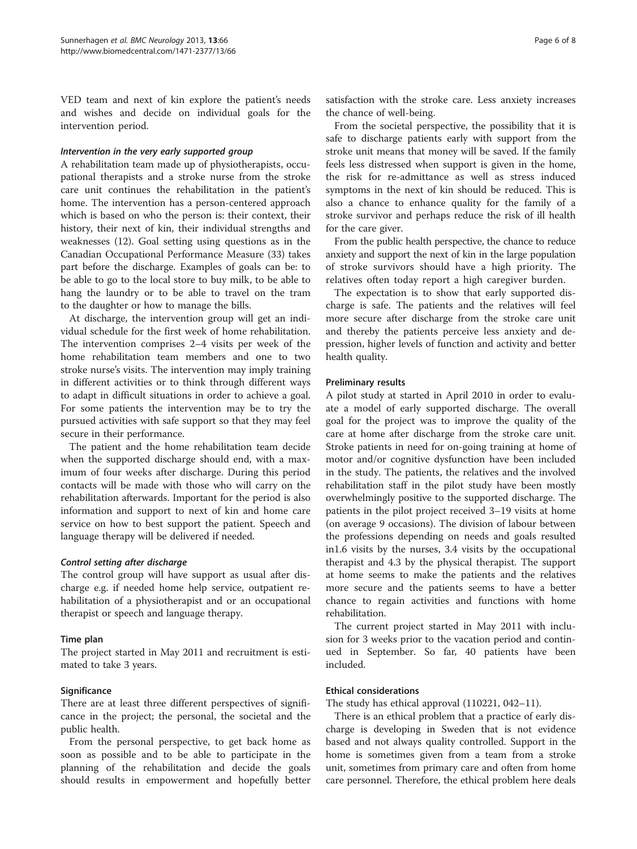VED team and next of kin explore the patient's needs and wishes and decide on individual goals for the intervention period.

#### Intervention in the very early supported group

A rehabilitation team made up of physiotherapists, occupational therapists and a stroke nurse from the stroke care unit continues the rehabilitation in the patient's home. The intervention has a person-centered approach which is based on who the person is: their context, their history, their next of kin, their individual strengths and weaknesses [\(12\)](#page-6-0). Goal setting using questions as in the Canadian Occupational Performance Measure ([33](#page-7-0)) takes part before the discharge. Examples of goals can be: to be able to go to the local store to buy milk, to be able to hang the laundry or to be able to travel on the tram to the daughter or how to manage the bills.

At discharge, the intervention group will get an individual schedule for the first week of home rehabilitation. The intervention comprises 2–4 visits per week of the home rehabilitation team members and one to two stroke nurse's visits. The intervention may imply training in different activities or to think through different ways to adapt in difficult situations in order to achieve a goal. For some patients the intervention may be to try the pursued activities with safe support so that they may feel secure in their performance.

The patient and the home rehabilitation team decide when the supported discharge should end, with a maximum of four weeks after discharge. During this period contacts will be made with those who will carry on the rehabilitation afterwards. Important for the period is also information and support to next of kin and home care service on how to best support the patient. Speech and language therapy will be delivered if needed.

#### Control setting after discharge

The control group will have support as usual after discharge e.g. if needed home help service, outpatient rehabilitation of a physiotherapist and or an occupational therapist or speech and language therapy.

#### Time plan

The project started in May 2011 and recruitment is estimated to take 3 years.

#### **Significance**

There are at least three different perspectives of significance in the project; the personal, the societal and the public health.

From the personal perspective, to get back home as soon as possible and to be able to participate in the planning of the rehabilitation and decide the goals should results in empowerment and hopefully better

From the societal perspective, the possibility that it is safe to discharge patients early with support from the stroke unit means that money will be saved. If the family feels less distressed when support is given in the home, the risk for re-admittance as well as stress induced symptoms in the next of kin should be reduced. This is also a chance to enhance quality for the family of a stroke survivor and perhaps reduce the risk of ill health for the care giver.

From the public health perspective, the chance to reduce anxiety and support the next of kin in the large population of stroke survivors should have a high priority. The relatives often today report a high caregiver burden.

The expectation is to show that early supported discharge is safe. The patients and the relatives will feel more secure after discharge from the stroke care unit and thereby the patients perceive less anxiety and depression, higher levels of function and activity and better health quality.

#### Preliminary results

A pilot study at started in April 2010 in order to evaluate a model of early supported discharge. The overall goal for the project was to improve the quality of the care at home after discharge from the stroke care unit. Stroke patients in need for on-going training at home of motor and/or cognitive dysfunction have been included in the study. The patients, the relatives and the involved rehabilitation staff in the pilot study have been mostly overwhelmingly positive to the supported discharge. The patients in the pilot project received 3–19 visits at home (on average 9 occasions). The division of labour between the professions depending on needs and goals resulted in1.6 visits by the nurses, 3.4 visits by the occupational therapist and 4.3 by the physical therapist. The support at home seems to make the patients and the relatives more secure and the patients seems to have a better chance to regain activities and functions with home rehabilitation.

The current project started in May 2011 with inclusion for 3 weeks prior to the vacation period and continued in September. So far, 40 patients have been included.

# Ethical considerations

The study has ethical approval (110221, 042–11).

There is an ethical problem that a practice of early discharge is developing in Sweden that is not evidence based and not always quality controlled. Support in the home is sometimes given from a team from a stroke unit, sometimes from primary care and often from home care personnel. Therefore, the ethical problem here deals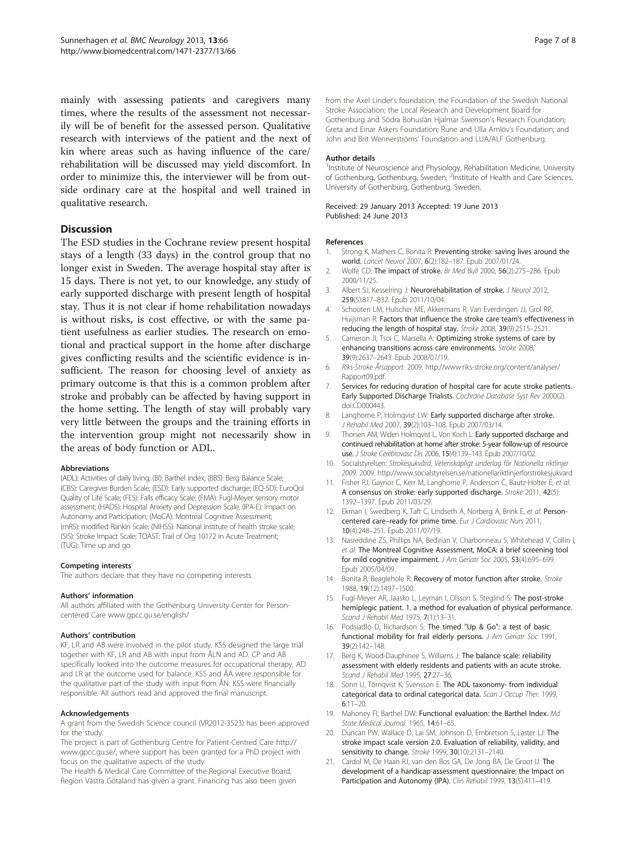<span id="page-6-0"></span>mainly with assessing patients and caregivers many times, where the results of the assessment not necessarily will be of benefit for the assessed person. Qualitative research with interviews of the patient and the next of kin where areas such as having influence of the care/ rehabilitation will be discussed may yield discomfort. In order to minimize this, the interviewer will be from outside ordinary care at the hospital and well trained in qualitative research.

#### **Discussion**

The ESD studies in the Cochrane review present hospital stays of a length (33 days) in the control group that no longer exist in Sweden. The average hospital stay after is 15 days. There is not yet, to our knowledge, any study of early supported discharge with present length of hospital stay. Thus it is not clear if home rehabilitation nowadays is without risks, is cost effective, or with the same patient usefulness as earlier studies. The research on emotional and practical support in the home after discharge gives conflicting results and the scientific evidence is insufficient. The reason for choosing level of anxiety as primary outcome is that this is a common problem after stroke and probably can be affected by having support in the home setting. The length of stay will probably vary very little between the groups and the training efforts in the intervention group might not necessarily show in the areas of body function or ADL.

#### Abbreviations

(ADL): Activities of daily living; (BI): Barthel index; (BBS): Berg Balance Scale; (CBS): Caregiver Burden Scale; (ESD): Early supported discharge; (EQ-5D): EuroQol Quality of Life Scale; (FES): Falls efficacy Scale; (FMA): Fugl-Meyer sensory motor assessment; (HADS): Hospital Anxiety and Depression Scale; (IPA-E): Impact on Autonomy and Participation; (MoCA): Montreal Cognitive Assessment; (mRS): modified Rankin Scale; (NIHSS): National institute of health stroke scale; (SIS): Stroke Impact Scale; TOAST: Trail of Org 10172 in Acute Treatment; (TUG): Time up and go.

#### Competing interests

The authors declare that they have no competing interests.

#### Authors' information

All authors affiliated with the Gothenburg University Center for Personcentered Care [www.gpcc.gu.se/english/](http://www.gpcc.gu.se/english/)

#### Authors' contribution

KF, LR and AB were involved in the pilot study. KSS designed the large trial together with KF, LR and AB with input from ÅLN and AD. CP and AB specifically looked into the outcome measures for occupational therapy, AD and LR at the outcome used for balance. KSS and ÅA were responsible for the qualitative part of the study with input from ÅN. KSS were financially responsible. All authors read and approved the final manuscript.

#### Acknowledgements

A grant from the Swedish Science council (VR2012-3523) has been approved for the study.

The project is part of Gothenburg Centre for Patient-Centred Care [http://](http://www.gpcc.gu.se/) [www.gpcc.gu.se/](http://www.gpcc.gu.se/), where support has been granted for a PhD project with focus on the qualitative aspects of the study.

The Health & Medical Care Committee of the Regional Executive Board, Region Västra Götaland has given a grant. Financing has also been given

from the Axel Linder's foundation, the Foundation of the Swedish National Stroke Association; the Local Research and Development Board for Gothenburg and Södra Bohuslän Hjalmar Swenson's Research Foundation; Greta and Einar Askers Foundation; Rune and Ulla Amlöv's Foundation; and John and Brit Wennerströms' Foundation and LUA/ALF Gothenburg.

#### Author details

<sup>1</sup>Institute of Neuroscience and Physiology, Rehabilitation Medicine, University of Gothenburg, Gothenburg, Sweden. <sup>2</sup>Institute of Health and Care Sciences University of Gothenburg, Gothenburg, Sweden.

#### Received: 29 January 2013 Accepted: 19 June 2013 Published: 24 June 2013

#### References

- 1. Strong K, Mathers C, Bonita R: Preventing stroke: saving lives around the world. Lancet Neurol 2007, 6(2):182–187. Epub 2007/01/24.
- 2. Wolfe CD: The impact of stroke. Br Med Bull 2000, 56(2):275-286. Epub 2000/11/25.
- 3. Albert SJ, Kesselring J: Neurorehabilitation of stroke. J Neurol 2012, 259(5):817–832. Epub 2011/10/04.
- 4. Schouten LM, Hulscher ME, Akkermans R, Van Everdingen JJ, Grol RP, Huijsman R: Factors that influence the stroke care team's effectiveness in reducing the length of hospital stay. Stroke 2008, 39(9):2515–2521.
- 5. Cameron JI, Tsoi C, Marsella A: Optimizing stroke systems of care by enhancing transitions across care environments. Stroke 2008, 39(9):2637–2643. Epub 2008/07/19.
- 6. Riks-Stroke Årsapport. 2009. [http://www.riks-stroke.org/content/analyser/](http://www.riks-stroke.org/content/analyser/Rapport09.pdf) [Rapport09.pdf.](http://www.riks-stroke.org/content/analyser/Rapport09.pdf)
- 7. Services for reducing duration of hospital care for acute stroke patients. Early Supported Discharge Trialists. Cochrane Database Syst Rev 2000(2). doi[:CD000443](http://dx.doi.org/CD000443).
- 8. Langhorne P, Holmqvist LW: Early supported discharge after stroke. J Rehabil Med 2007, 39(2):103–108. Epub 2007/03/14.
- 9. Thorsen AM, Widen Holmqvist L, Von Koch L: Early supported discharge and continued rehabilitation at home after stroke: 5-year follow-up of resource use. J Stroke Cerebrovasc Dis 2006, 15(4):139–143. Epub 2007/10/02.
- 10. Socialstyrelsen: Strokesjukvård. Vetenskapligt underlag för Nationella riktlinjer 2009. 2009. [http://www.socialstyrelsen.se/nationellariktlinjerforstrokesjukvard.](http://www.socialstyrelsen.se/nationellariktlinjerforstrokesjukvard)
- 11. Fisher RJ, Gaynor C, Kerr M, Langhorne P, Anderson C, Bautz-Holter E, et al: A consensus on stroke: early supported discharge. Stroke 2011, 42(5): 1392–1397. Epub 2011/03/29.
- 12. Ekman I, Swedberg K, Taft C, Lindseth A, Norberg A, Brink E, et al: Personcentered care–ready for prime time. Eur J Cardiovasc Nurs 2011, 10(4):248–251. Epub 2011/07/19.
- 13. Nasreddine ZS, Phillips NA, Bedirian V, Charbonneau S, Whitehead V, Collin I, et al: The Montreal Cognitive Assessment, MoCA: a brief screening tool for mild cognitive impairment. J Am Geriatr Soc 2005, 53(4):695–699. Epub 2005/04/09.
- 14. Bonita R, Beaglehole R: Recovery of motor function after stroke. Stroke 1988, 19(12):1497–1500.
- 15. Fugl-Meyer AR, Jaasko L, Leyman I, Olsson S, Steglind S: The post-stroke hemiplegic patient. 1. a method for evaluation of physical performance. Scand J Rehabil Med 1975, 7(1):13–31.
- 16. Podsiadlo D, Richardson S: The timed "Up & Go": a test of basic functional mobility for frail elderly persons. J Am Geriatr Soc 1991, 39(2):142–148.
- 17. Berg K, Wood-Dauphinee S, Williams J: The balance scale: reliability assessment with elderly residents and patients with an acute stroke. Scand J Rehabil Med 1995, 27:27–36.
- 18. Sonn U, Törnqvist K, Svensson E: The ADL taxonomy- from individual categorical data to ordinal categorical data. Scan J Occup Ther. 1999, 6:11–20.
- 19. Mahoney FI, Barthel DW: Functional evaluation: the Barthel Index. Md State Medical Journal. 1965, 14:61–65.
- 20. Duncan PW, Wallace D, Lai SM, Johnson D, Embretson S, Laster LJ: The stroke impact scale version 2.0. Evaluation of reliability, validity, and sensitivity to change. Stroke 1999, 30(10):2131–2140.
- 21. Cardol M, De Haan RJ, van den Bos GA, De Jong BA, De Groot IJ: The development of a handicap assessment questionnaire: the Impact on Participation and Autonomy (IPA). Clin Rehabil 1999, 13(5):411-419.